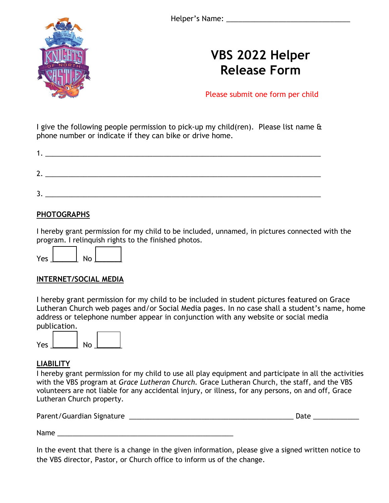

## **VBS 2022 Helper Release Form**

Please submit one form per child

I give the following people permission to pick-up my child(ren). Please list name & phone number or indicate if they can bike or drive home.

| л  | <u> 1980 - Jan Sterlinger, skriuwer yn it sjocht yn it sjocht yn de ferfanging yn it sjocht yn de ferfanging yn d</u> |  |  |
|----|-----------------------------------------------------------------------------------------------------------------------|--|--|
| 2. |                                                                                                                       |  |  |
| ◡  |                                                                                                                       |  |  |

#### **PHOTOGRAPHS**

I hereby grant permission for my child to be included, unnamed, in pictures connected with the program. I relinquish rights to the finished photos.

#### **INTERNET/SOCIAL MEDIA**

I hereby grant permission for my child to be included in student pictures featured on Grace Lutheran Church web pages and/or Social Media pages. In no case shall a student's name, home address or telephone number appear in conjunction with any website or social media publication.



#### **LIABILITY**

I hereby grant permission for my child to use all play equipment and participate in all the activities with the VBS program at *Grace Lutheran Church.* Grace Lutheran Church, the staff, and the VBS volunteers are not liable for any accidental injury, or illness, for any persons, on and off, Grace Lutheran Church property.

| Parent/Guardian Signature | Date |
|---------------------------|------|
|                           |      |

Name

In the event that there is a change in the given information, please give a signed written notice to the VBS director, Pastor, or Church office to inform us of the change.